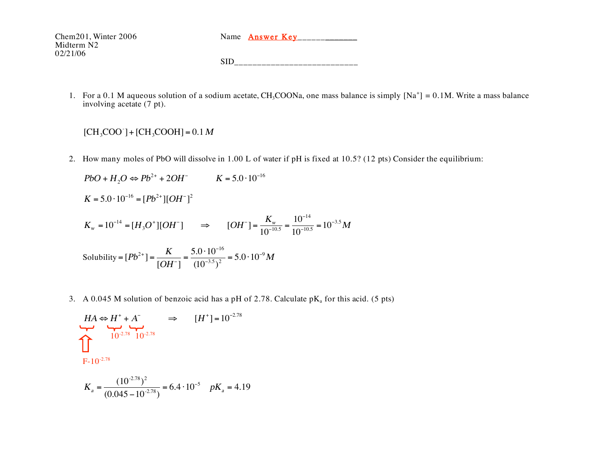Chem201, Winter 2006 Name Answe r Key\_\_\_\_\_\_\_\_\_\_\_\_\_

Midterm N2 02/21/06

 $\rm SID_{\_$ 

1. For a 0.1 M aqueous solution of a sodium acetate,  $CH_3COONa$ , one mass balance is simply  $[Na^+] = 0.1M$ . Write a mass balance involving acetate (7 pt).

 $[CH<sub>3</sub>COO^{-}] + [CH<sub>3</sub>COOH] = 0.1 M$ 

2. How many moles of PbO will dissolve in 1.00 L of water if pH is fixed at 10.5? (12 pts) Consider the equilibrium:

$$
PbO + H_2O \Leftrightarrow Pb^{2+} + 2OH^- \qquad K = 5.0 \cdot 10^{-16}
$$
  
\n
$$
K = 5.0 \cdot 10^{-16} = [Pb^{2+}][OH^-]^2
$$
  
\n
$$
K_w = 10^{-14} = [H_3O^+][OH^-] \qquad \Rightarrow \qquad [OH^-] = \frac{K_w}{10^{-10.5}} = \frac{10^{-14}}{10^{-10.5}} = 10^{-3.5} M
$$
  
\nSolubility =  $[Pb^{2+}] = \frac{K}{[OH^-]} = \frac{5.0 \cdot 10^{-16}}{(10^{-3.5})^2} = 5.0 \cdot 10^{-9} M$ 

3. A 0.045 M solution of benzoic acid has a pH of 2.78. Calculate  $pK_a$  for this acid. (5 pts)

$$
HA \Leftrightarrow H^+ + A^- \longrightarrow [H^+] = 10^{-2.78}
$$
  
\n
$$
10^{-2.78} 10^{-2.78}
$$
  
\nF-10<sup>-2.78</sup>

$$
K_a = \frac{(10^{-2.78})^2}{(0.045 - 10^{-2.78})} = 6.4 \cdot 10^{-5} \quad pK_a = 4.19
$$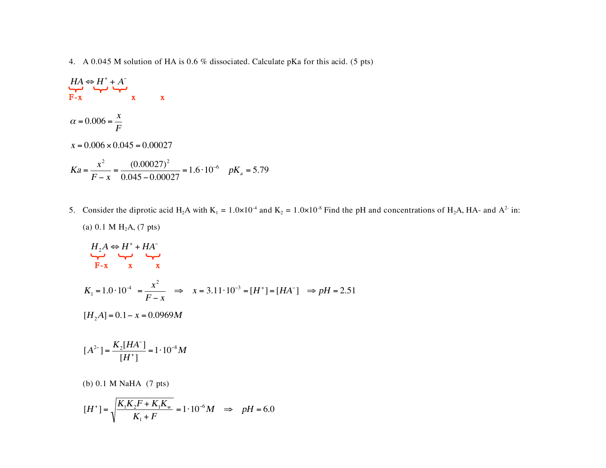4. A 0.045 M solution of HA is 0.6 % dissociated. Calculate pKa for this acid. (5 pts)

$$
HA \Leftrightarrow H^+ + A^-
$$
  
\n
$$
\Delta x
$$
  
\n
$$
\alpha = 0.006 = \frac{x}{F}
$$
  
\n
$$
x = 0.006 \times 0.045 = 0.00027
$$
  
\n
$$
Ka = \frac{x^2}{F - x} = \frac{(0.00027)^2}{0.045 - 0.00027} = 1.6 \cdot 10^{-6} pK_a = 5.79
$$

5. Consider the diprotic acid H<sub>2</sub>A with K<sub>1</sub> = 1.0×10<sup>-4</sup> and K<sub>2</sub> = 1.0×10<sup>-8</sup> Find the pH and concentrations of H<sub>2</sub>A, HA- and A<sup>2-</sup> in:

(a) 0.1 M H2A, (7 pts)

$$
H_2A \Leftrightarrow H^+ + HA^-
$$
  
\nF-x x x x  
\n
$$
K_1 = 1.0 \cdot 10^{-4} = \frac{x^2}{F - x} \implies x = 3.11 \cdot 10^{-3} = [H^+] = [HA^-] \implies pH = 2.51
$$
  
\n
$$
[H_2A] = 0.1 - x = 0.0969M
$$

$$
[A^{2-}] = \frac{K_2[HA^-]}{[H^+]} = 1 \cdot 10^{-8} M
$$

(b) 0.1 M NaHA (7 pts)

$$
[H^+] = \sqrt{\frac{K_1 K_2 F + K_1 K_w}{K_1 + F}} = 1 \cdot 10^{-6} M \implies pH = 6.0
$$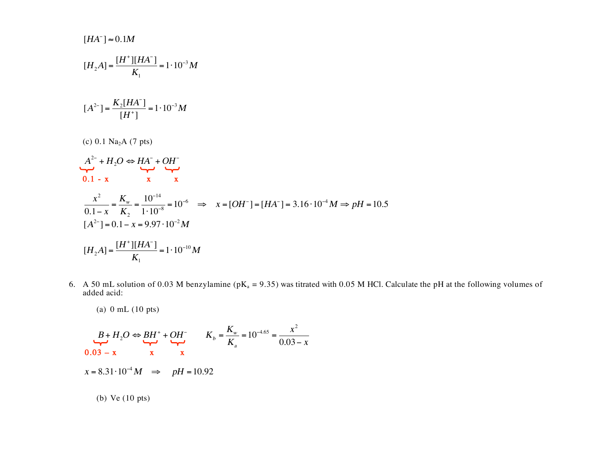$$
[HA^-] \approx 0.1M
$$
  
\n
$$
[H_2A] = \frac{[H^+][HA^-]}{K_1} = 1 \cdot 10^{-3} M
$$
  
\n
$$
[A^{2-}] = \frac{K_2[HA^-]}{[H^+]} = 1 \cdot 10^{-3} M
$$
  
\n(c) 0.1 Na<sub>2</sub>A (7 pts)  
\n
$$
A^{2-} + H_2O \Leftrightarrow HA^- + OH^-
$$
  
\n
$$
0.1 - x \t x \t x
$$
  
\n
$$
\frac{x^2}{0.1 - x} = \frac{K_w}{K_2} = \frac{10^{-14}}{1 \cdot 10^{-8}} = 10^{-6} \Rightarrow x = [OH^-] = [HA^-] = 3.16 \cdot 10^{-4} M \Rightarrow pH = 10.5
$$
  
\n
$$
[A^{2-}] = 0.1 - x = 9.97 \cdot 10^{-2} M
$$
  
\n
$$
[H_2A] = \frac{[H^+][HA^-]}{K_1} = 1 \cdot 10^{-10} M
$$

6. A 50 mL solution of 0.03 M benzylamine ( $pK_a = 9.35$ ) was titrated with 0.05 M HCl. Calculate the pH at the following volumes of added acid:

(a) 0 mL (10 pts)

 $B + H_2O \Leftrightarrow BH^+ + OH^ K_b = \frac{K_w}{K}$  $K_{\scriptscriptstyle a}$  $=10^{-4.65}$  $x^2$  $0.03 - x$  $0.03 - x$  x x  $x = 8.31 \cdot 10^{-4} M \implies pH = 10.92$ (b) Ve (10 pts)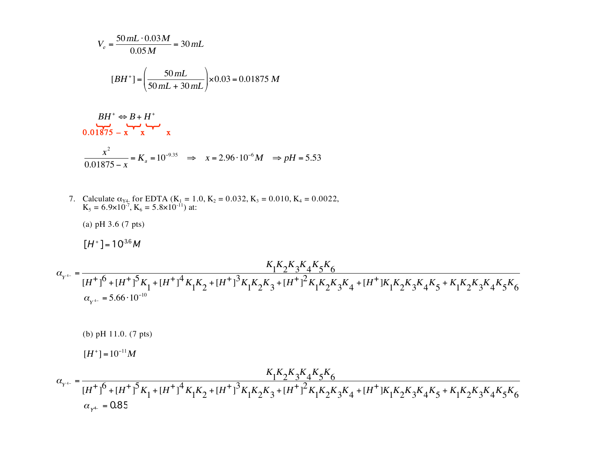$$
V_e = \frac{50 \, \text{mL} \cdot 0.03 \, M}{0.05 \, M} = 30 \, \text{mL}
$$
\n
$$
[BH^+] = \left(\frac{50 \, \text{mL}}{50 \, \text{mL} + 30 \, \text{mL}}\right) \times 0.03 = 0.01875 \, M
$$

$$
BH^+ \Leftrightarrow B + H^+
$$
  
0.01875 - x x x  

$$
\frac{x^2}{0.01875 - x} = K_a = 10^{-9.35} \implies x = 2.96 \cdot 10^{-6} M \implies pH = 5.53
$$

- 7. Calculate  $\alpha_{Y4}$  for EDTA (K<sub>1</sub> = 1.0, K<sub>2</sub> = 0.032, K<sub>3</sub> = 0.010, K<sub>4</sub> = 0.0022,  $K_5 = 6.9 \times 10^{-7}$ ,  $K_6 = 5.8 \times 10^{-11}$ ) at:
	- (a) pH 3.6 (7 pts)
	- $[H^+] = 10^{3.6} M$

$$
\alpha_{Y^{4-}} = \frac{K_1 K_2 K_3 K_4 K_5 K_6}{[H^+]^6 + [H^+]^5 K_1 + [H^+]^4 K_1 K_2 + [H^+]^3 K_1 K_2 K_3 + [H^+]^2 K_1 K_2 K_3 K_4 + [H^+] K_1 K_2 K_3 K_4 K_5 + K_1 K_2 K_3 K_4 K_5 K_6}
$$
  

$$
\alpha_{Y^{4-}} = 5.66 \cdot 10^{-10}
$$

(b) pH 11.0. (7 pts)  $[H^+] = 10^{-11}M$ 

$$
\alpha_{Y^{4-}} = \frac{K_1K_2K_3K_4K_5K_6}{[H^+]^6 + [H^+]^5K_1 + [H^+]^4K_1K_2 + [H^+]^3K_1K_2K_3 + [H^+]^2K_1K_2K_3K_4 + [H^+]K_1K_2K_3K_4K_5 + K_1K_2K_3K_4K_5K_6}
$$
  

$$
\alpha_{Y^{4-}} = 0.85
$$